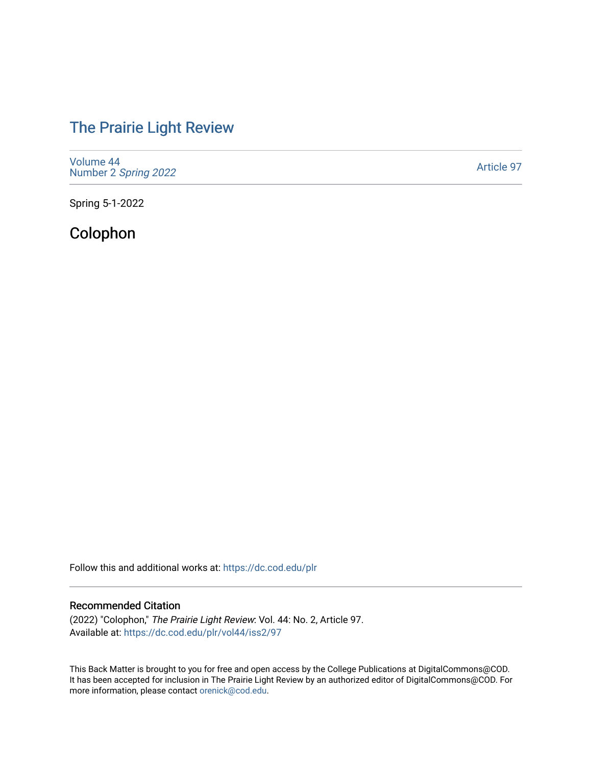# [The Prairie Light Review](https://dc.cod.edu/plr)

[Volume 44](https://dc.cod.edu/plr/vol44) Number 2 [Spring 2022](https://dc.cod.edu/plr/vol44/iss2) 

[Article 97](https://dc.cod.edu/plr/vol44/iss2/97) 

Spring 5-1-2022

Colophon

Follow this and additional works at: [https://dc.cod.edu/plr](https://dc.cod.edu/plr?utm_source=dc.cod.edu%2Fplr%2Fvol44%2Fiss2%2F97&utm_medium=PDF&utm_campaign=PDFCoverPages) 

# Recommended Citation

(2022) "Colophon," The Prairie Light Review: Vol. 44: No. 2, Article 97. Available at: [https://dc.cod.edu/plr/vol44/iss2/97](https://dc.cod.edu/plr/vol44/iss2/97?utm_source=dc.cod.edu%2Fplr%2Fvol44%2Fiss2%2F97&utm_medium=PDF&utm_campaign=PDFCoverPages)

This Back Matter is brought to you for free and open access by the College Publications at DigitalCommons@COD. It has been accepted for inclusion in The Prairie Light Review by an authorized editor of DigitalCommons@COD. For more information, please contact [orenick@cod.edu.](mailto:orenick@cod.edu)